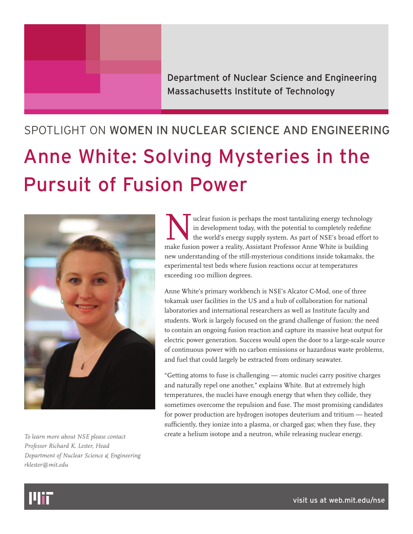

## SPOTLIGHT ON WOMEN IN NUCLEAR SCIENCE AND ENGINEERING Anne White: Solving Mysteries in the Pursuit of Fusion Power



*To learn more about NSE please contact Professor Richard K. Lester, Head Department of Nuclear Science & Engineering rklester@mit.edu*

In development today, with the potential to completely redefine<br>the world's energy supply system. As part of NSE's broad effort the<br>make fusion nower a reality Assistant Professor Anne White is building in development today, with the potential to completely redefine the world's energy supply system. As part of NSE's broad effort to make fusion power a reality, Assistant Professor Anne White is building new understanding of the still-mysterious conditions inside tokamaks, the experimental test beds where fusion reactions occur at temperatures exceeding 100 million degrees.

Anne White's primary workbench is NSE's Alcator C-Mod, one of three tokamak user facilities in the US and a hub of collaboration for national laboratories and international researchers as well as Institute faculty and students. Work is largely focused on the grand challenge of fusion: the need to contain an ongoing fusion reaction and capture its massive heat output for electric power generation. Success would open the door to a large-scale source of continuous power with no carbon emissions or hazardous waste problems, and fuel that could largely be extracted from ordinary seawater.

"Getting atoms to fuse is challenging — atomic nuclei carry positive charges and naturally repel one another," explains White. But at extremely high temperatures, the nuclei have enough energy that when they collide, they sometimes overcome the repulsion and fuse. The most promising candidates for power production are hydrogen isotopes deuterium and tritium — heated sufficiently, they ionize into a plasma, or charged gas; when they fuse, they create a helium isotope and a neutron, while releasing nuclear energy.